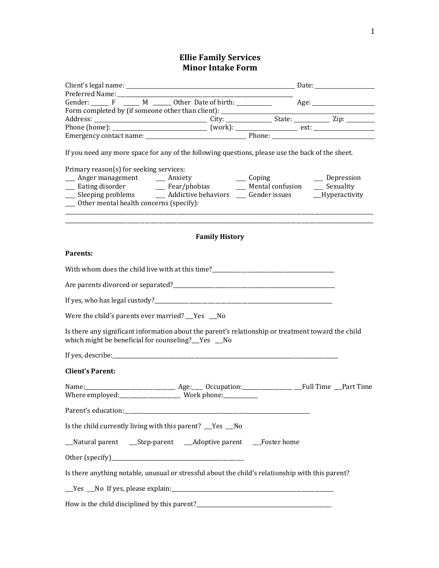### **Ellie Family Services Minor Intake Form**

| Gender: F M M Other Date of birth: Age: Age: Manuscription Age: Age: Norm completed by (if someone other than client):                                                                                                        |               |
|-------------------------------------------------------------------------------------------------------------------------------------------------------------------------------------------------------------------------------|---------------|
|                                                                                                                                                                                                                               |               |
|                                                                                                                                                                                                                               |               |
|                                                                                                                                                                                                                               |               |
| If you need any more space for any of the following questions, please use the back of the sheet.                                                                                                                              |               |
| Primary reason(s) for seeking services:                                                                                                                                                                                       |               |
|                                                                                                                                                                                                                               | __ Depression |
|                                                                                                                                                                                                                               |               |
| __ Sleeping problems _______ Addictive behaviors _____ Gender issues ______Hyperactivity<br>__ Other mental health concerns (specify):                                                                                        |               |
|                                                                                                                                                                                                                               |               |
| <u> 1980 - Jan James James James James James James James James James James James James James James James James</u><br><b>Family History</b>                                                                                   |               |
| Parents:                                                                                                                                                                                                                      |               |
|                                                                                                                                                                                                                               |               |
|                                                                                                                                                                                                                               |               |
|                                                                                                                                                                                                                               |               |
| Were the child's parents ever married? __Yes __No                                                                                                                                                                             |               |
| Is there any significant information about the parent's relationship or treatment toward the child<br>which might be beneficial for counseling?__Yes __No                                                                     |               |
|                                                                                                                                                                                                                               |               |
| <b>Client's Parent:</b>                                                                                                                                                                                                       |               |
|                                                                                                                                                                                                                               |               |
| Parent's education: Note that the contract of the contract of the contract of the contract of the contract of the contract of the contract of the contract of the contract of the contract of the contract of the contract of |               |
| Is the child currently living with this parent? __Yes __No                                                                                                                                                                    |               |
| __Natural parent ___Step-parent ___Adoptive parent ___Foster home                                                                                                                                                             |               |
|                                                                                                                                                                                                                               |               |
| Is there anything notable, unusual or stressful about the child's relationship with this parent?                                                                                                                              |               |
| Ves No If yes, please explain: 1997                                                                                                                                                                                           |               |
|                                                                                                                                                                                                                               |               |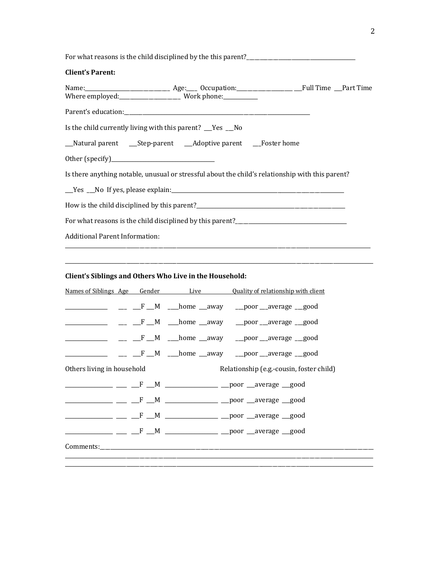For what reasons is the child disciplined by the this parent?\_\_\_\_\_\_\_\_\_\_\_\_\_\_\_\_\_\_\_\_\_\_\_\_\_\_\_\_\_\_\_\_\_\_\_\_\_\_\_\_\_

#### **Client's Parent:**

| Is the child currently living with this parent? The sum No                                                     |  |
|----------------------------------------------------------------------------------------------------------------|--|
| __Natural parent ___Step-parent ___Adoptive parent ___Foster home                                              |  |
|                                                                                                                |  |
| Is there anything notable, unusual or stressful about the child's relationship with this parent?               |  |
| Like Soft and Security Press, please explain: Like Like Like Like Like Like Soft and Dietar and Dietar and Die |  |
|                                                                                                                |  |
| For what reasons is the child disciplined by this parent?________________________                              |  |
| <b>Additional Parent Information:</b>                                                                          |  |

\_\_\_\_\_\_\_\_\_\_\_\_\_\_\_\_\_\_\_\_\_\_\_\_\_\_\_\_\_\_\_\_\_\_\_\_\_\_\_\_\_\_\_\_\_\_\_\_\_\_\_\_\_\_\_\_\_\_\_\_\_\_\_\_\_\_\_\_\_\_\_\_\_\_\_\_\_\_\_\_\_\_\_\_\_\_\_\_\_\_\_\_\_\_\_\_\_\_\_\_\_\_\_\_\_\_\_\_\_\_\_\_\_\_\_\_

# Client's Siblings and Others Who Live in the Household:

|                            |  | <u>Names of Siblings Age Gender Live Quality of relationship with client</u>  |
|----------------------------|--|-------------------------------------------------------------------------------|
|                            |  | ____________ _____________F ___M ____home ___away ____poor ___average ___good |
|                            |  |                                                                               |
|                            |  | _________ ___ __F __M ___home __away ___poor __average __good                 |
|                            |  |                                                                               |
| Others living in household |  | Relationship (e.g.-cousin, foster child)                                      |
|                            |  |                                                                               |
|                            |  |                                                                               |
|                            |  |                                                                               |
|                            |  |                                                                               |
| Comments:                  |  |                                                                               |
|                            |  |                                                                               |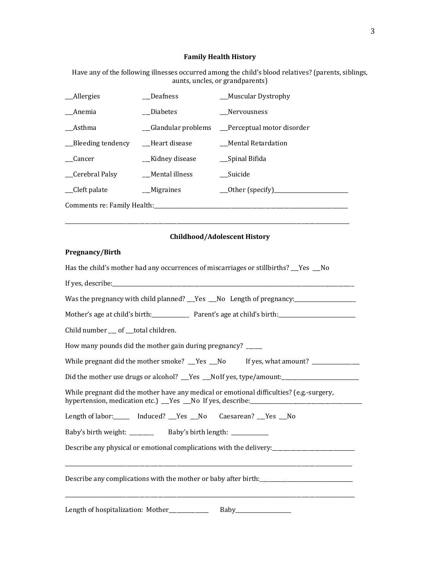### **Family Health History**

Have any of the following illnesses occurred among the child's blood relatives? (parents, siblings, aunts, uncles, or grandparents)

| __Allergies                 | <b>Deafness</b>  | __Muscular Dystrophy                            |
|-----------------------------|------------------|-------------------------------------------------|
| Anemia                      | <b>Diabetes</b>  | <b>Nervousness</b>                              |
| Asthma                      |                  | _Glandular problems __Perceptual motor disorder |
| __Bleeding tendency         | Heart disease    | Mental Retardation                              |
| Cancer                      | __Kidney disease | __Spinal Bifida                                 |
| Cerebral Palsy              | Mental illness   | Suicide                                         |
| _Cleft palate               | __Migraines      | __Other (specify)______________                 |
| Comments re: Family Health: |                  |                                                 |

\_\_\_\_\_\_\_\_\_\_\_\_\_\_\_\_\_\_\_\_\_\_\_\_\_\_\_\_\_\_\_\_\_\_\_\_\_\_\_\_\_\_\_\_\_\_\_\_\_\_\_\_\_\_\_\_\_\_\_\_\_\_\_\_\_\_\_\_\_\_\_\_\_\_\_\_\_\_\_\_\_\_\_\_\_\_\_\_\_\_\_\_\_\_\_\_\_\_\_\_\_\_\_\_\_\_\_

### **Childhood/Adolescent History**

### **Pregnancy/Birth**

| Has the child's mother had any occurrences of miscarriages or stillbirths? __Yes __No                                                                        |
|--------------------------------------------------------------------------------------------------------------------------------------------------------------|
|                                                                                                                                                              |
| Was the pregnancy with child planned? The Second Length of pregnancy: Concentrial Length of pregnancy:                                                       |
| Mother's age at child's birth: Parent's age at child's birth: Parent: age at child's birth:                                                                  |
| Child number __ of __total children.                                                                                                                         |
| How many pounds did the mother gain during pregnancy? _____                                                                                                  |
| While pregnant did the mother smoke? __Yes __No lf yes, what amount? ___________                                                                             |
|                                                                                                                                                              |
| While pregnant did the mother have any medical or emotional difficulties? (e.g.-surgery,<br>hypertension, medication etc.) Tes No If yes, describe: No manu- |
| Length of labor: ______ Induced? _Yes _No Caesarean? _Yes _No                                                                                                |
| Baby's birth weight: ________ Baby's birth length: ___________                                                                                               |
|                                                                                                                                                              |
| Describe any complications with the mother or baby after birth:                                                                                              |
|                                                                                                                                                              |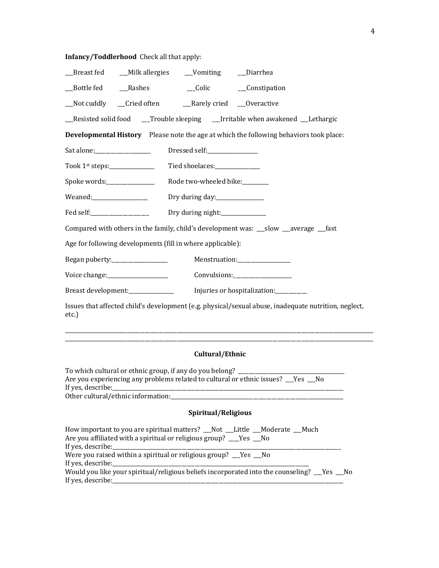# **Infancy/Toddlerhood** Check all that apply:

| _Breast fed _____Milk allergies ______Vomiting ______Diarrhea                                                 |  |  |  |  |  |  |
|---------------------------------------------------------------------------------------------------------------|--|--|--|--|--|--|
| __Bottle fed ____Rashes ____________Colic ________Constipation                                                |  |  |  |  |  |  |
| __Not cuddly ___Cried often __________Rarely cried ____Overactive                                             |  |  |  |  |  |  |
| _Resisted solid food ___Trouble sleeping ___Irritable when awakened __Lethargic                               |  |  |  |  |  |  |
| Developmental History Please note the age at which the following behaviors took place:                        |  |  |  |  |  |  |
| Sat alone:__________________<br>Dressed self:_______________                                                  |  |  |  |  |  |  |
| Took $1^{st}$ steps: $\_\_\_\_\_\_\_\_\_\_\_\_\_\_\_\_\_\_$<br>Tied shoelaces: _____________                  |  |  |  |  |  |  |
| Spoke words:_______________<br>Rode two-wheeled bike:                                                         |  |  |  |  |  |  |
| Weaned:_________________<br>Dry during day:_______________                                                    |  |  |  |  |  |  |
| Fed self:____________________<br>Dry during night:______________                                              |  |  |  |  |  |  |
| Compared with others in the family, child's development was: __slow __average __fast                          |  |  |  |  |  |  |
| Age for following developments (fill in where applicable):                                                    |  |  |  |  |  |  |
| Began puberty:_________________<br>Menstruation:_________________                                             |  |  |  |  |  |  |
| Voice change:_____________________<br>Convulsions:__________________                                          |  |  |  |  |  |  |
| Breast development: _________________ Injuries or hospitalization: __________                                 |  |  |  |  |  |  |
| Issues that affected child's development (e.g. physical/sexual abuse, inadequate nutrition, neglect,<br>etc.) |  |  |  |  |  |  |
|                                                                                                               |  |  |  |  |  |  |

# **Cultural/Ethnic**

\_\_\_\_\_\_\_\_\_\_\_\_\_\_\_\_\_\_\_\_\_\_\_\_\_\_\_\_\_\_\_\_\_\_\_\_\_\_\_\_\_\_\_\_\_\_\_\_\_\_\_\_\_\_\_\_\_\_\_\_\_\_\_\_\_\_\_\_\_\_\_\_\_\_\_\_\_\_\_\_\_\_\_\_\_\_\_\_\_\_\_\_\_\_\_\_\_\_\_\_\_\_\_\_\_\_\_\_\_\_\_\_\_\_\_\_

| To which cultural or ethnic group, if any do you belong? _______________________<br>Are you experiencing any problems related to cultural or ethnic issues? The State<br>If yes, describe: |
|--------------------------------------------------------------------------------------------------------------------------------------------------------------------------------------------|
|                                                                                                                                                                                            |
| Spiritual/Religious                                                                                                                                                                        |
| How important to you are spiritual matters? __Not __Little __Moderate __Much<br>Are you affiliated with a spiritual or religious group? ___Yes __No                                        |
| Were you raised within a spiritual or religious group? __Yes __No                                                                                                                          |
| Would you like your spiritual/religious beliefs incorporated into the counseling? __Yes __No                                                                                               |

If yes, describe:\_\_\_\_\_\_\_\_\_\_\_\_\_\_\_\_\_\_\_\_\_\_\_\_\_\_\_\_\_\_\_\_\_\_\_\_\_\_\_\_\_\_\_\_\_\_\_\_\_\_\_\_\_\_\_\_\_\_\_\_\_\_\_\_\_\_\_\_\_\_\_\_\_\_\_\_\_\_\_\_\_\_\_\_\_\_\_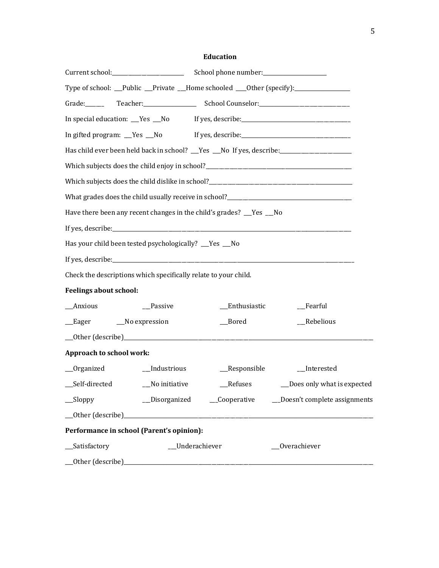### **Education**

|                                                                      |                                                                                  |                | Type of school: __Public __Private __Home schooled ___0ther (specify):___________                                                                                                                                             |  |  |  |  |
|----------------------------------------------------------------------|----------------------------------------------------------------------------------|----------------|-------------------------------------------------------------------------------------------------------------------------------------------------------------------------------------------------------------------------------|--|--|--|--|
| Grade: ______                                                        |                                                                                  |                |                                                                                                                                                                                                                               |  |  |  |  |
|                                                                      | In special education: __Yes __No If yes, describe: _____________________________ |                |                                                                                                                                                                                                                               |  |  |  |  |
|                                                                      |                                                                                  |                | In gifted program: Yes No If yes, describe: 15 yes and 15 yes also reduced by the summan was the summan of the summan was described by the summan was also reduced by the summan was defined by the summan was defined by the |  |  |  |  |
|                                                                      |                                                                                  |                | Has child ever been held back in school? __Yes __No If yes, describe: ___________                                                                                                                                             |  |  |  |  |
|                                                                      |                                                                                  |                |                                                                                                                                                                                                                               |  |  |  |  |
|                                                                      |                                                                                  |                |                                                                                                                                                                                                                               |  |  |  |  |
|                                                                      |                                                                                  |                |                                                                                                                                                                                                                               |  |  |  |  |
| Have there been any recent changes in the child's grades? __Yes __No |                                                                                  |                |                                                                                                                                                                                                                               |  |  |  |  |
|                                                                      |                                                                                  |                |                                                                                                                                                                                                                               |  |  |  |  |
| Has your child been tested psychologically? __Yes __No               |                                                                                  |                |                                                                                                                                                                                                                               |  |  |  |  |
|                                                                      |                                                                                  |                |                                                                                                                                                                                                                               |  |  |  |  |
| Check the descriptions which specifically relate to your child.      |                                                                                  |                |                                                                                                                                                                                                                               |  |  |  |  |
| <b>Feelings about school:</b>                                        |                                                                                  |                |                                                                                                                                                                                                                               |  |  |  |  |
| __Anxious                                                            | __Passive                                                                        | __Enthusiastic | _Fearful                                                                                                                                                                                                                      |  |  |  |  |
| __Eager _______No expression                                         |                                                                                  | $\_\_$ Bored   | __Rebelious                                                                                                                                                                                                                   |  |  |  |  |
|                                                                      |                                                                                  |                |                                                                                                                                                                                                                               |  |  |  |  |
| Approach to school work:                                             |                                                                                  |                |                                                                                                                                                                                                                               |  |  |  |  |
| __Organized                                                          | __Industrious                                                                    | _Responsible   | __Interested                                                                                                                                                                                                                  |  |  |  |  |
| __Self-directed                                                      | _No initiative                                                                   | __Refuses      | __Does only what is expected                                                                                                                                                                                                  |  |  |  |  |
| $\_\_$ Sloppy                                                        |                                                                                  |                | __Disorganized __________Cooperative _________Doesn't complete assignments                                                                                                                                                    |  |  |  |  |
|                                                                      |                                                                                  |                |                                                                                                                                                                                                                               |  |  |  |  |
| Performance in school (Parent's opinion):                            |                                                                                  |                |                                                                                                                                                                                                                               |  |  |  |  |
| __Satisfactory<br>_Underachiever<br>Overachiever                     |                                                                                  |                |                                                                                                                                                                                                                               |  |  |  |  |
|                                                                      |                                                                                  |                |                                                                                                                                                                                                                               |  |  |  |  |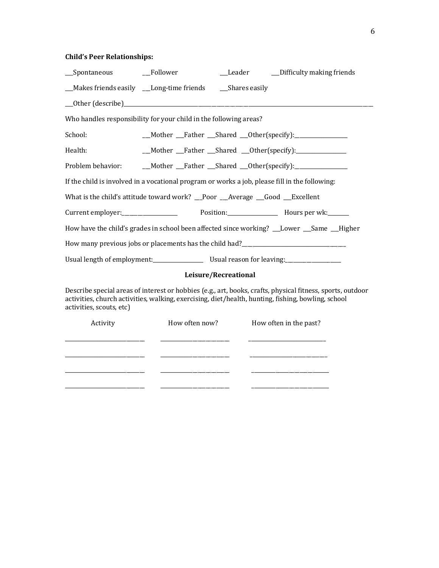# **Child's Peer Relationships:**

| __Spontaneous                                                                                  | __Follower     | __Leader             | _Difficulty making friends                                                                                                                                                                                       |
|------------------------------------------------------------------------------------------------|----------------|----------------------|------------------------------------------------------------------------------------------------------------------------------------------------------------------------------------------------------------------|
| __Makes friends easily __Long-time friends ____Shares easily                                   |                |                      |                                                                                                                                                                                                                  |
|                                                                                                |                |                      |                                                                                                                                                                                                                  |
| Who handles responsibility for your child in the following areas?                              |                |                      |                                                                                                                                                                                                                  |
| School:                                                                                        |                |                      | _Mother __Father __Shared __Other(specify):______________                                                                                                                                                        |
| Health:                                                                                        |                |                      | __Mother __Father __Shared __Other(specify):______________                                                                                                                                                       |
| Problem behavior:                                                                              |                |                      | __Mother __Father __Shared __Other(specify):_________________                                                                                                                                                    |
| If the child is involved in a vocational program or works a job, please fill in the following: |                |                      |                                                                                                                                                                                                                  |
| What is the child's attitude toward work? _Poor __Average __Good __Excellent                   |                |                      |                                                                                                                                                                                                                  |
|                                                                                                |                |                      |                                                                                                                                                                                                                  |
|                                                                                                |                |                      | How have the child's grades in school been affected since working? __Lower __Same __Higher                                                                                                                       |
|                                                                                                |                |                      |                                                                                                                                                                                                                  |
|                                                                                                |                |                      |                                                                                                                                                                                                                  |
|                                                                                                |                | Leisure/Recreational |                                                                                                                                                                                                                  |
| activities, scouts, etc)                                                                       |                |                      | Describe special areas of interest or hobbies (e.g., art, books, crafts, physical fitness, sports, outdoor<br>activities, church activities, walking, exercising, diet/health, hunting, fishing, bowling, school |
| Activity                                                                                       | How often now? |                      | How often in the past?                                                                                                                                                                                           |
|                                                                                                |                |                      |                                                                                                                                                                                                                  |
|                                                                                                |                |                      |                                                                                                                                                                                                                  |
|                                                                                                |                |                      |                                                                                                                                                                                                                  |

\_\_\_\_\_\_\_\_\_\_\_\_\_\_\_\_\_\_\_\_\_\_\_\_\_\_\_\_\_\_ \_\_\_\_\_\_\_\_\_\_\_\_\_\_\_\_\_\_\_\_\_\_\_\_\_\_ \_\_\_\_\_\_\_\_\_\_\_\_\_\_\_\_\_\_\_\_\_\_\_\_\_\_\_\_\_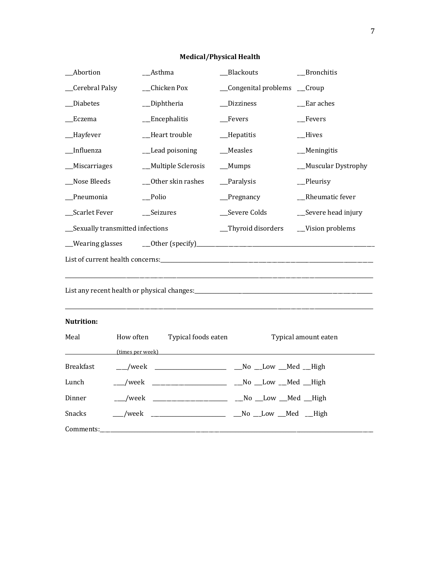# **Medical/Physical Health**

| __Abortion                        | Asthma                                               | _Blackouts                  | _Bronchitis          |
|-----------------------------------|------------------------------------------------------|-----------------------------|----------------------|
| _Cerebral Palsy                   | _Chicken Pox                                         | _Congenital problems _Croup |                      |
| _Diabetes                         | _Diphtheria                                          | _Dizziness                  | $\_E$ ar aches       |
| _Eczema                           | _Encephalitis                                        | $_F$ Fevers                 | _Fevers              |
| _Hayfever                         | Heart trouble                                        | _Hepatitis                  | <b>Hives</b>         |
| Influenza                         | _Lead poisoning                                      | __Measles                   | _Meningitis          |
| Miscarriages                      | _Multiple Sclerosis                                  | $M$ umps                    | _Muscular Dystrophy  |
| _Nose Bleeds                      | __Other skin rashes                                  | _Paralysis                  | _Pleurisy            |
| _Pneumonia                        | _Polio                                               | $P$ regnancy                | _Rheumatic fever     |
| Scarlet Fever                     | _Seizures                                            | __Severe Colds              | __Severe head injury |
| __Sexually transmitted infections |                                                      | _Thyroid disorders          | __Vision problems    |
| __Wearing glasses                 |                                                      |                             |                      |
|                                   |                                                      |                             |                      |
|                                   |                                                      |                             |                      |
|                                   |                                                      |                             |                      |
|                                   |                                                      |                             |                      |
| <b>Nutrition:</b>                 |                                                      |                             |                      |
| Meal                              | How often<br>Typical foods eaten                     |                             | Typical amount eaten |
|                                   | (times per week)                                     |                             |                      |
| <b>Breakfast</b>                  | ___/week ___________________ __No __Low __Med __High |                             |                      |
| Lunch                             | __/week_                                             |                             |                      |
| Dinner                            | __/week                                              |                             |                      |
| Snacks                            | $/we$ k                                              | Mo Low Med High             |                      |
| Comments:                         |                                                      |                             |                      |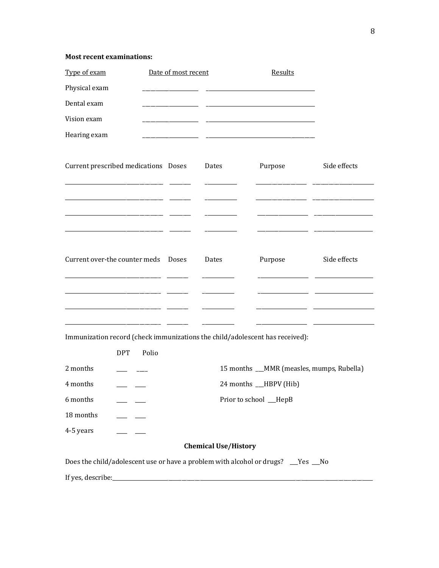#### **Most recent examinations:**

| Type of exam                                                                     |                         | Date of most recent |                             | Results                                   |              |
|----------------------------------------------------------------------------------|-------------------------|---------------------|-----------------------------|-------------------------------------------|--------------|
| Physical exam                                                                    |                         |                     |                             |                                           |              |
| Dental exam                                                                      |                         |                     |                             |                                           |              |
| Vision exam                                                                      |                         |                     |                             |                                           |              |
| Hearing exam                                                                     |                         |                     |                             |                                           |              |
| Current prescribed medications Doses                                             |                         |                     | Dates                       | Purpose                                   | Side effects |
|                                                                                  |                         |                     |                             |                                           |              |
|                                                                                  |                         |                     |                             |                                           |              |
|                                                                                  |                         |                     |                             |                                           |              |
|                                                                                  |                         |                     |                             |                                           |              |
| Current over-the counter meds Doses                                              |                         |                     | Dates                       | Purpose                                   | Side effects |
|                                                                                  |                         |                     |                             |                                           |              |
|                                                                                  |                         |                     |                             |                                           |              |
|                                                                                  |                         |                     |                             |                                           |              |
| Immunization record (check immunizations the child/adolescent has received):     |                         |                     |                             |                                           |              |
| <b>DPT</b>                                                                       | Polio                   |                     |                             |                                           |              |
| 2 months                                                                         |                         |                     |                             | 15 months __MMR (measles, mumps, Rubella) |              |
| 4 months                                                                         | 24 months<br>HBPV (Hib) |                     |                             |                                           |              |
| 6 months                                                                         | Prior to school __HepB  |                     |                             |                                           |              |
| 18 months<br>$\overline{\phantom{a}}$                                            |                         |                     |                             |                                           |              |
| 4-5 years                                                                        |                         |                     |                             |                                           |              |
|                                                                                  |                         |                     | <b>Chemical Use/History</b> |                                           |              |
| Does the child/adolescent use or have a problem with alcohol or drugs? __Yes _No |                         |                     |                             |                                           |              |
|                                                                                  |                         |                     |                             |                                           |              |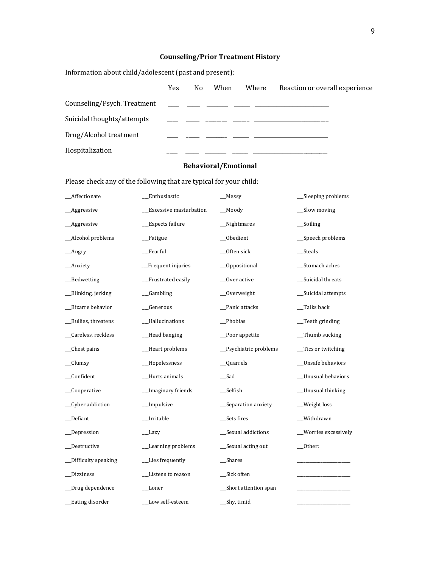# **Counseling/Prior Treatment History**

Information about child/adolescent (past and present):

|                             | <b>Yes</b> | No. | When | Where                                       | Reaction or overall experience |
|-----------------------------|------------|-----|------|---------------------------------------------|--------------------------------|
| Counseling/Psych. Treatment |            |     |      |                                             |                                |
| Suicidal thoughts/attempts  |            |     |      | <u> 1980 - Jan James James Amerikaans (</u> |                                |
| Drug/Alcohol treatment      |            |     |      |                                             |                                |
| Hospitalization             |            |     |      |                                             |                                |

#### **Behavioral/Emotional**

Please check any of the following that are typical for your child:

| _Affectionate        | Enthusiastic            | $M$ essy              | _Sleeping problems      |
|----------------------|-------------------------|-----------------------|-------------------------|
| _Aggressive          | _Excessive masturbation | _Moody                | _Slow moving            |
| _Aggressive          | _Expects failure        | _Nightmares           | $\equiv$ Soiling        |
| _Alcohol problems    | _Fatigue                | _Obedient             | _Speech problems        |
| $_{\text{Im}}$       | Fearful                 | _0ften sick           | __Steals                |
| _Anxiety             | _Frequent injuries      | _Oppositional         | _Stomach aches          |
| _Bedwetting          | Frustrated easily       | _Over active          | _Suicidal threats       |
| __Blinking, jerking  | $\_$ Gambling           | $_0$ Overweight       | _Suicidal attempts      |
| _Bizarre behavior    | _Generous               | _Panic attacks        | _Talks back             |
| _Bullies, threatens  | _Hallucinations         | _Phobias              | $\equiv$ Teeth grinding |
| _Careless, reckless  | _Head banging           | _Poor appetite        | $m$ Thumb sucking       |
| _Chest pains         | _Heart problems         | _Psychiatric problems | _Tics or twitching      |
| $\_$ Clumsy          | _Hopelessness           | $\_\_$ Quarrels       | _Unsafe behaviors       |
| _Confident           | _Hurts animals          | $\_$ Sad              | _Unusual behaviors      |
| _Cooperative         | _Imaginary friends      | $\_\$                 | _Unusual thinking       |
| _Cyber addiction     | _Impulsive              | _Separation anxiety   | _Weight loss            |
| _Defiant             | _Irritable              | _Sets fires           | _Withdrawn              |
| _Depression          | _Lazy                   | _Sexual addictions    | __Worries excessively   |
| _Destructive         | _Learning problems      | __Sexual acting out   | $_$ Other:              |
| _Difficulty speaking | _Lies frequently        | $\_\$                 |                         |
| Dizziness            | Listens to reason       | _Sick often           |                         |
| _Drug dependence     | __Loner                 | _Short attention span |                         |
| Eating disorder      | Low self-esteem         | Shy, timid            |                         |